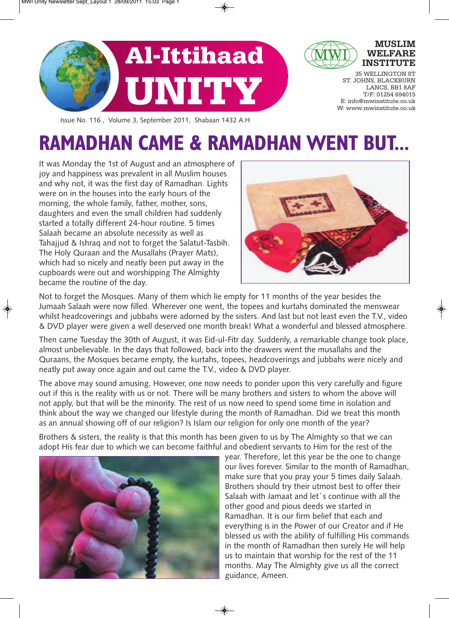

Issue No. 116 , Volume 3, September 2011, Shabaan 1432 A.H

# **RAMADHAN CAME & RAMADHAN WENT BUT...**

It was Monday the 1st of August and an atmosphere of joy and happiness was prevalent in all Muslim houses and why not, it was the first day of Ramadhan. Lights were on in the houses into the early hours of the morning, the whole family, father, mother, sons, daughters and even the small children had suddenly started a totally different 24-hour routine. 5 times Salaah became an absolute necessity as well as Tahajjud & Ishraq and not to forget the Salatut-Tasbih. The Holy Quraan and the Musallahs (Prayer Mats), which had so nicely and neatly been put away in the cupboards were out and worshipping The Almighty became the routine of the day.



Not to forget the Mosques. Many of them which lie empty for 11 months of the year besides the Jumaah Salaah were now filled. Wherever one went, the topees and kurtahs dominated the menswear whilst headcoverings and jubbahs were adorned by the sisters. And last but not least even the T.V., video & DVD player were given a well deserved one month break! What a wonderful and blessed atmosphere.

Then came Tuesday the 30th of August, it was Eid-ul-Fitr day. Suddenly, a remarkable change took place, almost unbelievable. In the days that followed, back into the drawers went the musallahs and the Quraans, the Mosques became empty, the kurtahs, topees, headcoverings and jubbahs were nicely and neatly put away once again and out came the T.V., video & DVD player.

The above may sound amusing. However, one now needs to ponder upon this very carefully and figure out if this is the reality with us or not. There will be many brothers and sisters to whom the above will not apply, but that will be the minority. The rest of us now need to spend some time in isolation and think about the way we changed our lifestyle during the month of Ramadhan. Did we treat this month as an annual showing off of our religion? Is Islam our religion for only one month of the year?

Brothers & sisters, the reality is that this month has been given to us by The Almighty so that we can adopt His fear due to which we can become faithful and obedient servants to Him for the rest of the



year. Therefore, let this year be the one to change our lives forever. Similar to the month of Ramadhan, make sure that you pray your 5 times daily Salaah. Brothers should try their utmost best to offer their Salaah with Jamaat and let`s continue with all the other good and pious deeds we started in Ramadhan. It is our firm belief that each and everything is in the Power of our Creator and if He blessed us with the ability of fulfilling His commands in the month of Ramadhan then surely He will help us to maintain that worship for the rest of the 11 months. May The Almighty give us all the correct guidance, Ameen.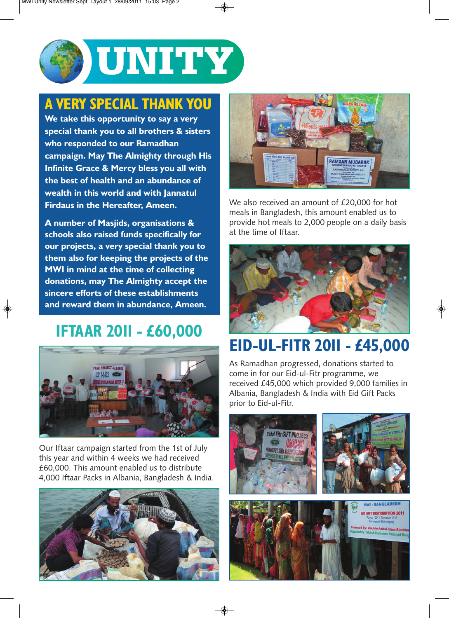

### **A VERY SPECIAL THANK YOU**

**We take this opportunity to say a very special thank you to all brothers & sisters who responded to our Ramadhan campaign. May The Almighty through His Infinite Grace & Mercy bless you all with the best of health and an abundance of wealth in this world and with Jannatul Firdaus in the Hereafter, Ameen.**

**A number of Masjids, organisations & schools also raised funds specifically for our projects, a very special thank you to them also for keeping the projects of the MWI in mind at the time of collecting donations, may The Almighty accept the sincere efforts of these establishments and reward them in abundance, Ameen.**

## **IFTAAR 2011 - £60,000**



Our Iftaar campaign started from the 1st of July this year and within 4 weeks we had received £60,000. This amount enabled us to distribute 4,000 Iftaar Packs in Albania, Bangladesh & India.





We also received an amount of £20,000 for hot meals in Bangladesh, this amount enabled us to provide hot meals to 2,000 people on a daily basis at the time of Iftaar.



# **EID-UL-FITR 2011 - £45,000**

As Ramadhan progressed, donations started to come in for our Eid-ul-Fitr programme, we received £45,000 which provided 9,000 families in Albania, Bangladesh & India with Eid Gift Packs prior to Eid-ul-Fitr.

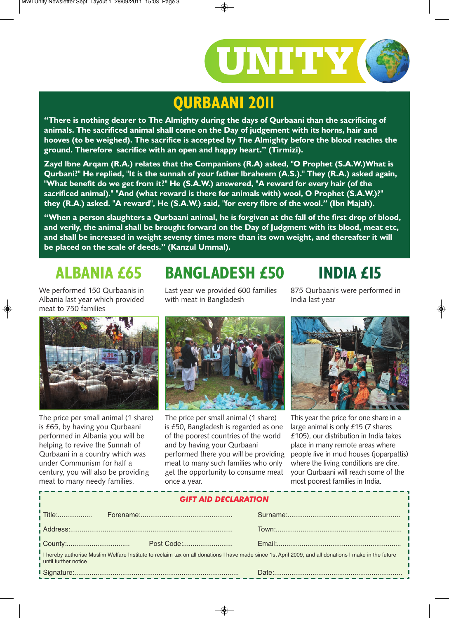

## **QURBAANI 2011**

**"There is nothing dearer to The Almighty during the days of Qurbaani than the sacrificing of animals. The sacrificed animal shall come on the Day of judgement with its horns, hair and hooves (to be weighed). The sacrifice is accepted by The Almighty before the blood reaches the ground. Therefore sacrifice with an open and happy heart." (Tirmizi).**

**Zayd lbne Arqam (R.A.) relates that the Companions (R.A) asked, "O Prophet (S.A.W.)What is Qurbani?" He replied, "It is the sunnah of your father lbraheem (A.S.)." They (R.A.) asked again, "What benefit do we get from it?" He (S.A.W.) answered, "A reward for every hair (of the sacrificed animal)." "And (what reward is there for animals with) wool, O Prophet (S.A.W.)?" they (R.A.) asked. "A reward", He (S.A.W.) said, "for every fibre of the wool." (Ibn Majah).**

**"When a person slaughters a Qurbaani animal, he is forgiven at the fall of the first drop of blood, and verily, the animal shall be brought forward on the Day of Judgment with its blood, meat etc, and shall be increased in weight seventy times more than its own weight, and thereafter it will be placed on the scale of deeds." (Kanzul Ummal).**

# **ALBANIA £65**

We performed 150 Qurbaanis in Albania last year which provided meat to 750 families

Last year we provided 600 families with meat in Bangladesh

**BANGLADESH £50**

875 Qurbaanis were performed in India last year

**INDIA £15**



The price per small animal (1 share) is £65, by having you Qurbaani performed in Albania you will be helping to revive the Sunnah of Qurbaani in a country which was under Communism for half a century, you will also be providing meat to many needy families.



The price per small animal (1 share) is £50, Bangladesh is regarded as one of the poorest countries of the world and by having your Qurbaani performed there you will be providing meat to many such families who only get the opportunity to consume meat once a year.



This year the price for one share in a large animal is only £15 (7 shares £105), our distribution in India takes place in many remote areas where people live in mud houses (joparpattis) where the living conditions are dire, your Qurbaani will reach some of the most poorest families in India.

| <b>GIFT AID DECLARATION</b>                                                                                                                                                  |  |  |  |
|------------------------------------------------------------------------------------------------------------------------------------------------------------------------------|--|--|--|
|                                                                                                                                                                              |  |  |  |
|                                                                                                                                                                              |  |  |  |
|                                                                                                                                                                              |  |  |  |
| I hereby authorise Muslim Welfare Institute to reclaim tax on all donations I have made since 1st April 2009, and all donations I make in the future<br>until further notice |  |  |  |
|                                                                                                                                                                              |  |  |  |